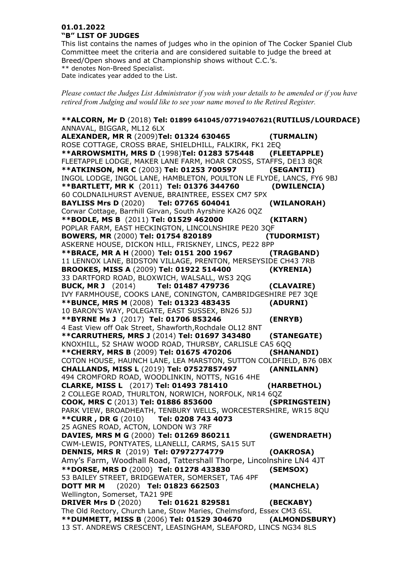## **01.01.2022 "B" LIST OF JUDGES**

This list contains the names of judges who in the opinion of The Cocker Spaniel Club Committee meet the criteria and are considered suitable to judge the breed at Breed/Open shows and at Championship shows without C.C.'s. \*\* denotes Non-Breed Specialist. Date indicates year added to the List.

*Please contact the Judges List Administrator if you wish your details to be amended or if you have retired from Judging and would like to see your name moved to the Retired Register.*

**\*\*ALCORN, Mr D** (2018) **Tel: 01899 641045/07719407621(RUTILUS/LOURDACE)** ANNAVAL, BIGGAR, ML12 6LX **ALEXANDER, MR R** (2009)**Tel: 01324 630465 (TURMALIN)** ROSE COTTAGE, CROSS BRAE, SHIELDHILL, FALKIRK, FK1 2EQ **\*\*ARROWSMITH, MRS D** (1998)**Tel: 01283 575448 (FLEETAPPLE)** FLEETAPPLE LODGE, MAKER LANE FARM, HOAR CROSS, STAFFS, DE13 8QR **\*\*ATKINSON, MR C** (2003) **Tel: 01253 700597 (SEGANTII)** INGOL LODGE, INGOL LANE, HAMBLETON, POULTON LE FLYDE, LANCS, FY6 9BJ **\*\*BARTLETT, MR K** (2011) **Tel: 01376 344760 (DWILENCIA)** 60 COLDNAILHURST AVENUE, BRAINTREE, ESSEX CM7 5PX **BAYLISS Mrs D** (2020) **Tel: 07765 604041 (WILANORAH)** Corwar Cottage, Barrhill Girvan, South Ayrshire KA26 0QZ **\*\*BODLE, MS B** (2011) **Tel: 01529 462000 (KITARN)** POPLAR FARM, EAST HECKINGTON, LINCOLNSHIRE PE20 3QF **BOWERS, MR** (2000) **Tel: 01754 820189 (TUDORMIST)**  ASKERNE HOUSE, DICKON HILL, FRISKNEY, LINCS, PE22 8PP **\*\*BRACE, MR A H** (2000) **Tel: 0151 200 1967 (TRAGBAND)** 11 LENNOX LANE, BIDSTON VILLAGE, PRENTON, MERSEYSIDE CH43 7RB **BROOKES, MISS A** (2009) **Tel: 01922 514400 (KYRENIA)** 33 DARTFORD ROAD, BLOXWICH, WALSALL, WS3 2QG **BUCK, MR J** (2014) **Tel: 01487 479736 (CLAVAIRE)** IVY FARMHOUSE, COOKS LANE, CONINGTON, CAMBRIDGESHIRE PE7 3QE **\*\*BUNCE, MRS M** (2008) **Tel: 01323 483435 (ADURNI)** 10 BARON'S WAY, POLEGATE, EAST SUSSEX, BN26 5JJ **\*\*BYRNE Ms J** (2017) **Tel: 01706 853246 (ENRYB)** 4 East View off Oak Street, Shawforth,Rochdale OL12 8NT **\*\*CARRUTHERS, MRS J** (2014) **Tel: 01697 343480 (STANEGATE)** KNOXHILL, 52 SHAW WOOD ROAD, THURSBY, CARLISLE CA5 6QQ **\*\*CHERRY, MRS B** (2009) **Tel: 01675 470206 (SHANANDI)** COTON HOUSE, HAUNCH LANE, LEA MARSTON, SUTTON COLDFIELD, B76 0BX **CHALLANDS, MISS L** (2019) **Tel: 07527857497 (ANNILANN)** 494 CROMFORD ROAD, WOODLINKIN, NOTTS, NG16 4HE **CLARKE, MISS L** (2017) **Tel: 01493 781410 (HARBETHOL)** 2 COLLEGE ROAD, THURLTON, NORWICH, NORFOLK, NR14 6QZ **COOK, MRS C** (2013) **Tel: 01886 853600 (SPRINGSTEIN)** PARK VIEW, BROADHEATH, TENBURY WELLS, WORCESTERSHIRE, WR15 8QU **\*\*CURR , DR G** (2010) **Tel: 0208 743 4073** 25 AGNES ROAD, ACTON, LONDON W3 7RF **DAVIES, MRS M G** (2000) **Tel: 01269 860211 (GWENDRAETH)** CWM-LEWIS, PONTYATES, LLANELLI, CARMS, SA15 5UT **DENNIS, MRS R** (2019) **Tel: 07972774779 (OAKROSA)** Amy's Farm, Woodhall Road, Tattershall Thorpe, Lincolnshire LN4 4JT **\*\*DORSE, MRS D** (2000) **Tel: 01278 433830 (SEMSOX)** 53 BAILEY STREET, BRIDGEWATER, SOMERSET, TA6 4PF **DOTT MR M** (2020) **Tel: 01823 662503 (MANCHELA)** Wellington, Somerset, TA21 9PE **DRIVER Mrs D** (2020) **Tel: 01621 829581 (BECKABY)** The Old Rectory, Church Lane, Stow Maries, Chelmsford, Essex CM3 6SL **\*\*DUMMETT, MISS B** (2006) **Tel: 01529 304670 (ALMONDSBURY)** 13 ST. ANDREWS CRESCENT, LEASINGHAM, SLEAFORD, LINCS NG34 8LS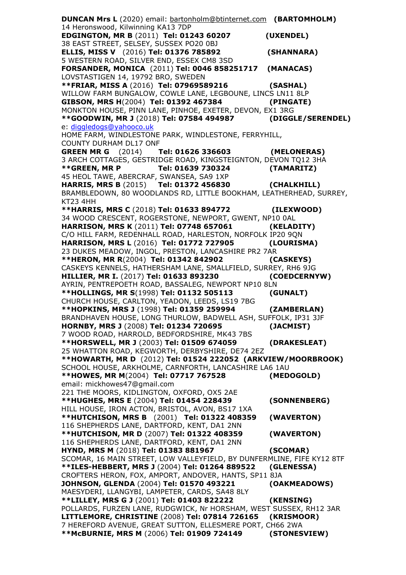**DUNCAN Mrs L** (2020) email: [bartonholm@btinternet.com](mailto:bartonholm@btinternet.com) **(BARTOMHOLM)** 14 Heronswood, Kilwinning KA13 7DP **EDGINGTON, MR B** (2011) **Tel: 01243 60207 (UXENDEL)** 38 EAST STREET, SELSEY, SUSSEX PO20 0BJ **ELLIS, MISS V** (2016) **Tel: 01376 785892 (SHANNARA)**  5 WESTERN ROAD, SILVER END, ESSEX CM8 3SD **FORSANDER, MONICA** (2011) **Tel: 0046 858251717 (MANACAS)** LOVSTASTIGEN 14, 19792 BRO, SWEDEN **\*\*FRIAR, MISS A** (2016) **Tel: 07969589216 (SASHAL)** WILLOW FARM BUNGALOW, COWLE LANE, LEGBOUNE, LINCS LN11 8LP<br>GIBSON, MRS H(2004) Tel: 01392 467384 (PINGATE) **GIBSON, MRS H**(2004) **Tel: 01392 467384 (PINGATE)** MONKTON HOUSE, PINN LANE, PINHOE, EXETER, DEVON, EX1 3RG **\*\*GOODWIN, MR J** (2018) **Tel: 07584 494987 (DIGGLE/SERENDEL)** e: [diggledogs@yahooco.uk](mailto:diggledogs@yahooco.uk) HOME FARM, WINDLESTONE PARK, WINDLESTONE, FERRYHILL, COUNTY DURHAM DL17 ONF **GREEN MR G** (2014) **Tel: 01626 336603 (MELONERAS)** 3 ARCH COTTAGES, GESTRIDGE ROAD, KINGSTEIGNTON, DEVON TQ12 3HA **\*\*GREEN, MR P Tel: 01639 730324 (TAMARITZ)** 45 HEOL TAWE, ABERCRAF, SWANSEA, SA9 1XP **HARRIS, MRS B** (2015) **Tel: 01372 456830 (CHALKHILL)** BRAMBLEDOWN, 80 WOODLANDS RD, LITTLE BOOKHAM, LEATHERHEAD, SURREY, KT23 4HH **\*\*HARRIS, MRS C** (2018) **Tel: 01633 894772 (ILEXWOOD)** 34 WOOD CRESCENT, ROGERSTONE, NEWPORT, GWENT, NP10 0AL **HARRISON, MRS K** (2011) **Tel: 07748 657061 (KELADITY)** C/O HILL FARM, REDENHALL ROAD, HARLESTON, NORFOLK IP20 9QN **HARRISON, MRS L** (2016) **Tel: 01772 727905 (LOURISMA)** 23 DUKES MEADOW, INGOL, PRESTON, LANCASHIRE PR2 7AR **\*\*HERON, MR R**(2004) **Tel: 01342 842902 (CASKEYS)** CASKEYS KENNELS, HATHERSHAM LANE, SMALLFIELD, SURREY, RH6 9JG **HILLIER, MR I.** (2017) **Tel: 01633 893230 (COEDCERNYW)** AYRIN, PENTREPOETH ROAD, BASSALEG, NEWPORT NP10 8LN **\*\*HOLLINGS, MR S**(1998) **Tel: 01132 505113 (GUNALT)** CHURCH HOUSE, CARLTON, YEADON, LEEDS, LS19 7BG **\*\*HOPKINS, MRS J** (1998) **Tel: 01359 259994 (ZAMBERLAN)** BRANDHAVEN HOUSE, LONG THURLOW, BADWELL ASH, SUFFOLK, IP31 3JF **HORNBY, MRS J** (2008) **Tel: 01234 720695 (JACMIST)** 7 WOOD ROAD, HARROLD, BEDFORDSHIRE, MK43 7BS **\*\*HORSWELL, MR J** (2003) **Tel: 01509 674059 (DRAKESLEAT)** 25 WHATTON ROAD, KEGWORTH, DERBYSHIRE, DE74 2EZ **\*\*HOWARTH, MR D** (2012) **Tel: 01524 222052 (ARKVIEW/MOORBROOK)**  SCHOOL HOUSE, ARKHOLME, CARNFORTH, LANCASHIRE LA6 1AU **\*\*HOWES, MR M**(2004) **Tel: 07717 767528 (MEDOGOLD)** email: mickhowes47@gmail.com 221 THE MOORS, KIDLINGTON, OXFORD, OX5 2AE **\*\*HUGHES, MRS E** (2004) **Tel: 01454 228439 (SONNENBERG)** HILL HOUSE, IRON ACTON, BRISTOL, AVON, BS17 1XA **\*\*HUTCHISON, MRS B** (2001) **Tel: 01322 408359 (WAVERTON)** 116 SHEPHERDS LANE, DARTFORD, KENT, DA1 2NN **\*\*HUTCHISON, MR D** (2007) **Tel: 01322 408359 (WAVERTON)** 116 SHEPHERDS LANE, DARTFORD, KENT, DA1 2NN **HYND, MRS M** (2018) **Tel: 01383 881967 (SCOMAR)** SCOMAR, 16 MAIN STREET, LOW VALLEYFIELD, BY DUNFERMLINE, FIFE KY12 8TF **\*\*ILES-HEBBERT, MRS J** (2004) **Tel: 01264 889522 (GLENESSA)** CROFTERS HERON, FOX, AMPORT, ANDOVER, HANTS, SP11 8JA **JOHNSON, GLENDA** (2004) **Tel: 01570 493221 (OAKMEADOWS)** MAESYDERI, LLANGYBI, LAMPETER, CARDS, SA48 8LY **\*\*LILLEY, MRS G J** (2001) **Tel: 01403 822222 (KENSING)** POLLARDS, FURZEN LANE, RUDGWICK, Nr HORSHAM, WEST SUSSEX, RH12 3AR **LITTLEMORE, CHRISTINE** (2008) **Tel: 07814 726165 (KRISMOOR)** 7 HEREFORD AVENUE, GREAT SUTTON, ELLESMERE PORT, CH66 2WA **\*\*McBURNIE, MRS M** (2006) **Tel: 01909 724149 (STONESVIEW)**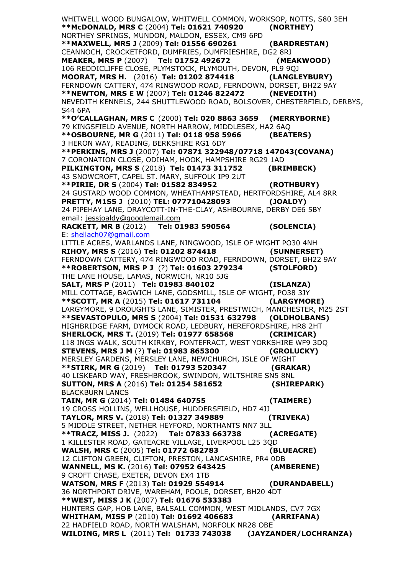WHITWELL WOOD BUNGALOW, WHITWELL COMMON, WORKSOP, NOTTS, S80 3EH<br>\*\*McDONALD, MRS C (2004) Tel: 01621 740920 (NORTHEY)  $**Mc$ DONALD, MRS C (2004) Tel: 01621 740920 NORTHEY SPRINGS, MUNDON, MALDON, ESSEX, CM9 6PD **\*\*MAXWELL, MRS J** (2009) **Tel: 01556 690261 (BARDRESTAN)** CEANNOCH, CROCKETFORD, DUMFRIES, DUMFRIESHIRE, DG2 8RJ **MEAKER, MRS P** (2007) **Tel: 01752 492672 (MEAKWOOD)** 106 REDDICLIFFE CLOSE, PLYMSTOCK, PLYMOUTH, DEVON, PL9 9QJ **MOORAT, MRS H.** (2016) **Tel: 01202 874418 (LANGLEYBURY)** FERNDOWN CATTERY, 474 RINGWOOD ROAD, FERNDOWN, DORSET, BH22 9AY **\*\*NEWTON, MRS E W** (2007) **Tel: 01246 822472 (NEVEDITH)** NEVEDITH KENNELS, 244 SHUTTLEWOOD ROAD, BOLSOVER, CHESTERFIELD, DERBYS, S44 6PA **\*\*O'CALLAGHAN, MRS C** (2000) **Tel: 020 8863 3659 (MERRYBORNE)** 79 KINGSFIELD AVENUE, NORTH HARROW, MIDDLESEX, HA2 6AQ **\*\*OSBOURNE, MR G** (2011) **Tel: 0118 958 5966 (BEATERS)** 3 HERON WAY, READING, BERKSHIRE RG1 6DY **\*\*PERKINS, MRS J** (2007) **Tel: 07871 322948/07718 147043(COVANA)** 7 CORONATION CLOSE, ODIHAM, HOOK, HAMPSHIRE RG29 1AD **PILKINGTON, MRS S** (2018) **Tel: 01473 311752 (BRIMBECK)** 43 SNOWCROFT, CAPEL ST. MARY, SUFFOLK IP9 2UT **\*\*PIRIE, DR S** (2004) **Tel: 01582 834952 (ROTHBURY)** 24 GUSTARD WOOD COMMON, WHEATHAMPSTEAD, HERTFORDSHIRE, AL4 8RR **PRETTY, M1SS J** (2010) **TEL: 077710428093 (JOALDY)** 24 PIPEHAY LANE, DRAYCOTT-IN-THE-CLAY, ASHBOURNE, DERBY DE6 5BY email: [jessjoaldy@googlemail.com](mailto:jessjoaldy@googlemail.com) **RACKETT, MR B** (2012) **Tel: 01983 590564 (SOLENCIA)** E: [shellach07@gmail.com](mailto:shellach07@gmail.com) LITTLE ACRES, WARLANDS LANE, NINGWOOD, ISLE OF WIGHT PO30 4NH<br>RIHOY, MRS S (2016) Tel: 01202 874418 (SUNNERSET) **RIHOY, MRS S (2016) Tel: 01202 874418** FERNDOWN CATTERY, 474 RINGWOOD ROAD, FERNDOWN, DORSET, BH22 9AY **\*\*ROBERTSON, MRS P J** (?) **Tel: 01603 279234 (STOLFORD)** THE LANE HOUSE, LAMAS, NORWICH, NR10 5JG **SALT, MRS P** (2011) **Tel: 01983 840102 (ISLANZA)** MILL COTTAGE, BAGWICH LANE, GODSMILL, ISLE OF WIGHT, PO38 3JY **\*\*SCOTT, MR A** (2015) **Tel: 01617 731104 (LARGYMORE)** LARGYMORE, 9 DROUGHTS LANE, SIMISTER, PRESTWICH, MANCHESTER, M25 2ST **\*\*SEVASTOPULO, MRS S** (2004) **Tel: 01531 632798 (OLDHOLBANS)** HIGHBRIDGE FARM, DYMOCK ROAD, LEDBURY, HEREFORDSHIRE, HR8 2HT **SHERLOCK, MRS T.** (2019) **Tel: 01977 658568 (CRIMICAR)** 118 INGS WALK, SOUTH KIRKBY, PONTEFRACT, WEST YORKSHIRE WF9 3DQ **STEVENS, MRS J M** (?) **Tel: 01983 865300 (GROLUCKY)** MERSLEY GARDENS, MERSLEY LANE, NEWCHURCH, ISLE OF WIGHT **\*\*STIRK, MR G** (2019) **Tel: 01793 520347 (GRAKAR)** 40 LISKEARD WAY, FRESHBROOK, SWINDON, WILTSHIRE SN5 8NL **SUTTON, MRS A** (2016) **Tel: 01254 581652 (SHIREPARK)** BLACKBURN LANCS **TAIN, MR G** (2014) **Tel: 01484 640755 (TAIMERE)** 19 CROSS HOLLINS, WELLHOUSE, HUDDERSFIELD, HD7 4JJ **TAYLOR, MRS V.** (2018) **Tel: 01327 349889 (TRIVEKA)** 5 MIDDLE STREET, NETHER HEYFORD, NORTHANTS NN7 3LL **\*\*TRACZ, MISS J.** (2022) **Tel: 07833 663738 (ACREGATE)**  1 KILLESTER ROAD, GATEACRE VILLAGE, LIVERPOOL L25 3QD **WALSH, MRS C** (2005) **Tel: 01772 682783 (BLUEACRE)** 12 CLIFTON GREEN, CLIFTON, PRESTON, LANCASHIRE, PR4 0DB **WANNELL, MS K.** (2016) **Tel: 07952 643425 (AMBERENE)** 9 CROFT CHASE, EXETER, DEVON EX4 1TB **WATSON, MRS F** (2013) **Tel: 01929 554914 (DURANDABELL)** 36 NORTHPORT DRIVE, WAREHAM, POOLE, DORSET, BH20 4DT **\*\*WEST, MISS J K** (2007) **Tel: 01676 533383** HUNTERS GAP, HOB LANE, BALSALL COMMON, WEST MIDLANDS, CV7 7GX **WHITHAM, MISS P** (2010) **Tel: 01692 406683 (ARRIFANA)** 22 HADFIELD ROAD, NORTH WALSHAM, NORFOLK NR28 OBE **WILDING, MRS L** (2011) **Tel: 01733 743038 (JAYZANDER/LOCHRANZA)**